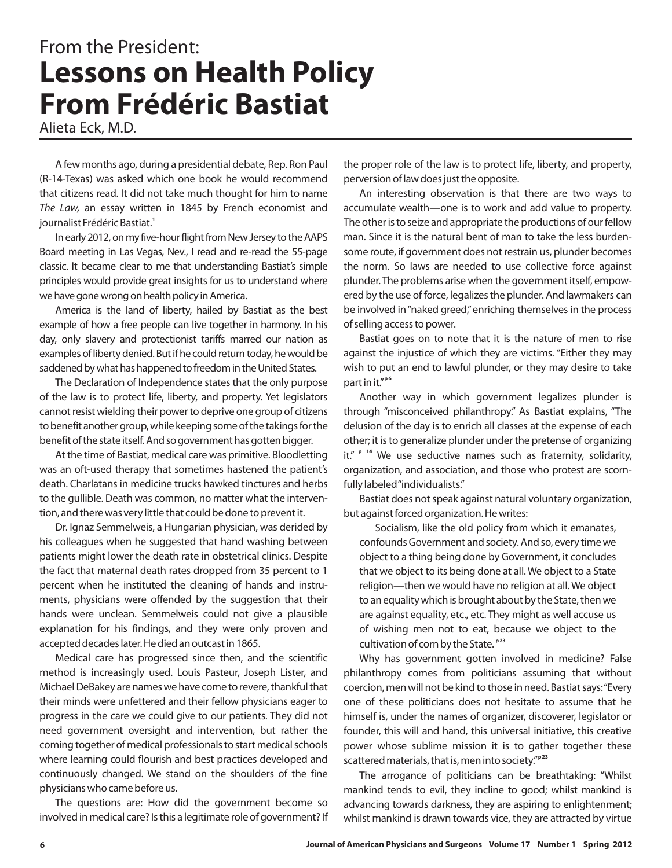## From the President: From the President: Lessons on Health Policy **From Frédéric Bastiat**

Alieta Eck, M.D.

A few months ago, during a presidential debate, Rep. Ron Paul (R-14-Texas) was asked which one book he would recommend that citizens read. It did not take much thought for him to name The Law, an essay written in 1845 by French economist and journalist Frédéric Bastiat. **1**

In early 2012, on my five-hour flight from New Jersey to the AAPS Board meeting in Las Vegas, Nev., I read and re-read the 55-page classic. It became clear to me that understanding Bastiat's simple principles would provide great insights for us to understand where we have gone wrong on health policy in America.

America is the land of liberty, hailed by Bastiat as the best example of how a free people can live together in harmony. In his day, only slavery and protectionist tariffs marred our nation as examples of liberty denied. But if he could return today, he would be saddened by what has happened to freedom in the United States.

The Declaration of Independence states that the only purpose of the law is to protect life, liberty, and property. Yet legislators cannot resist wielding their power to deprive one group of citizens to benefit another group, while keeping some of the takings for the benefit of the state itself. And so government has gotten bigger.

At the time of Bastiat, medical care was primitive. Bloodletting was an oft-used therapy that sometimes hastened the patient's death. Charlatans in medicine trucks hawked tinctures and herbs to the gullible. Death was common, no matter what the intervention, and there was very little that could be done to prevent it.

Dr. Ignaz Semmelweis, a Hungarian physician, was derided by his colleagues when he suggested that hand washing between patients might lower the death rate in obstetrical clinics. Despite the fact that maternal death rates dropped from 35 percent to 1 percent when he instituted the cleaning of hands and instruments, physicians were offended by the suggestion that their hands were unclean. Semmelweis could not give a plausible explanation for his findings, and they were only proven and accepted decades later. He died an outcast in 1865.

Medical care has progressed since then, and the scientific method is increasingly used. Louis Pasteur, Joseph Lister, and Michael DeBakey are names we have come to revere, thankful that their minds were unfettered and their fellow physicians eager to progress in the care we could give to our patients. They did not need government oversight and intervention, but rather the coming together of medical professionals to start medical schools where learning could flourish and best practices developed and continuously changed. We stand on the shoulders of the fine physicians who came before us.

The questions are: How did the government become so involved in medical care? Is this a legitimate role of government? If the proper role of the law is to protect life, liberty, and property, perversion of law does just the opposite.

An interesting observation is that there are two ways to accumulate wealth—one is to work and add value to property. The other is to seize and appropriate the productions of our fellow man. Since it is the natural bent of man to take the less burdensome route, if government does not restrain us, plunder becomes the norm. So laws are needed to use collective force against plunder. The problems arise when the government itself, empowered by the use of force, legalizes the plunder. And lawmakers can be involved in"naked greed,"enriching themselves in the process of selling access to power.

Bastiat goes on to note that it is the nature of men to rise against the injustice of which they are victims. "Either they may wish to put an end to lawful plunder, or they may desire to take part in it."<sup>p6</sup>

Another way in which government legalizes plunder is through "misconceived philanthropy." As Bastiat explains, "The delusion of the day is to enrich all classes at the expense of each other; it is to generalize plunder under the pretense of organizing it." <sup>P 14</sup> We use seductive names such as fraternity, solidarity, organization, and association, and those who protest are scornfully labeled"individualists."

Bastiat does not speak against natural voluntary organization, but against forced organization. He writes:

Socialism, like the old policy from which it emanates, confounds Government and society. And so, every time we object to a thing being done by Government, it concludes that we object to its being done at all. We object to a State religion—then we would have no religion at all. We object to an equality which is brought about by the State, then we are against equality, etc., etc. They might as well accuse us of wishing men not to eat, because we object to the cultivation of corn by the State. **p 23**

Why has government gotten involved in medicine? False philanthropy comes from politicians assuming that without coercion, men will not be kind to those in need. Bastiat says:"Every one of these politicians does not hesitate to assume that he himself is, under the names of organizer, discoverer, legislator or founder, this will and hand, this universal initiative, this creative power whose sublime mission it is to gather together these scattered materials, that is, men into society." **p 23**

The arrogance of politicians can be breathtaking: "Whilst mankind tends to evil, they incline to good; whilst mankind is advancing towards darkness, they are aspiring to enlightenment; whilst mankind is drawn towards vice, they are attracted by virtue